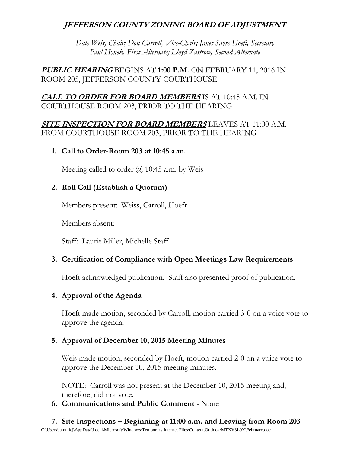# **JEFFERSON COUNTY ZONING BOARD OF ADJUSTMENT**

*Dale Weis, Chair; Don Carroll, Vice-Chair; Janet Sayre Hoeft, Secretary Paul Hynek, First Alternate; Lloyd Zastrow, Second Alternate*

**PUBLIC HEARING** BEGINS AT **1:00 P.M.** ON FEBRUARY 11, 2016 IN ROOM 205, JEFFERSON COUNTY COURTHOUSE

# **CALL TO ORDER FOR BOARD MEMBERS** IS AT 10:45 A.M. IN COURTHOUSE ROOM 203, PRIOR TO THE HEARING

**SITE INSPECTION FOR BOARD MEMBERS** LEAVES AT 11:00 A.M. FROM COURTHOUSE ROOM 203, PRIOR TO THE HEARING

#### **1. Call to Order-Room 203 at 10:45 a.m.**

Meeting called to order  $\omega$  10:45 a.m. by Weis

## **2. Roll Call (Establish a Quorum)**

Members present: Weiss, Carroll, Hoeft

Members absent: -----

Staff: Laurie Miller, Michelle Staff

## **3. Certification of Compliance with Open Meetings Law Requirements**

Hoeft acknowledged publication. Staff also presented proof of publication.

## **4. Approval of the Agenda**

Hoeft made motion, seconded by Carroll, motion carried 3-0 on a voice vote to approve the agenda.

## **5. Approval of December 10, 2015 Meeting Minutes**

Weis made motion, seconded by Hoeft, motion carried 2-0 on a voice vote to approve the December 10, 2015 meeting minutes.

NOTE: Carroll was not present at the December 10, 2015 meeting and, therefore, did not vote.

## **6. Communications and Public Comment -** None

C:\Users\tammiej\AppData\Local\Microsoft\Windows\Temporary Internet Files\Content.Outlook\MTXV3L0X\February.doc **7. Site Inspections – Beginning at 11:00 a.m. and Leaving from Room 203**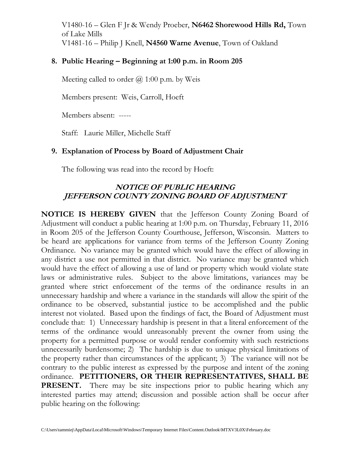V1480-16 – Glen F Jr & Wendy Proeber, **N6462 Shorewood Hills Rd,** Town of Lake Mills V1481-16 – Philip J Knell, **N4560 Warne Avenue**, Town of Oakland

## **8. Public Hearing – Beginning at 1:00 p.m. in Room 205**

Meeting called to order  $(a)$  1:00 p.m. by Weis

Members present: Weis, Carroll, Hoeft

Members absent: -----

Staff: Laurie Miller, Michelle Staff

#### **9. Explanation of Process by Board of Adjustment Chair**

The following was read into the record by Hoeft:

# **NOTICE OF PUBLIC HEARING JEFFERSON COUNTY ZONING BOARD OF ADJUSTMENT**

**NOTICE IS HEREBY GIVEN** that the Jefferson County Zoning Board of Adjustment will conduct a public hearing at 1:00 p.m. on Thursday, February 11, 2016 in Room 205 of the Jefferson County Courthouse, Jefferson, Wisconsin. Matters to be heard are applications for variance from terms of the Jefferson County Zoning Ordinance. No variance may be granted which would have the effect of allowing in any district a use not permitted in that district. No variance may be granted which would have the effect of allowing a use of land or property which would violate state laws or administrative rules. Subject to the above limitations, variances may be granted where strict enforcement of the terms of the ordinance results in an unnecessary hardship and where a variance in the standards will allow the spirit of the ordinance to be observed, substantial justice to be accomplished and the public interest not violated. Based upon the findings of fact, the Board of Adjustment must conclude that: 1) Unnecessary hardship is present in that a literal enforcement of the terms of the ordinance would unreasonably prevent the owner from using the property for a permitted purpose or would render conformity with such restrictions unnecessarily burdensome; 2) The hardship is due to unique physical limitations of the property rather than circumstances of the applicant; 3) The variance will not be contrary to the public interest as expressed by the purpose and intent of the zoning ordinance. **PETITIONERS, OR THEIR REPRESENTATIVES, SHALL BE PRESENT.** There may be site inspections prior to public hearing which any interested parties may attend; discussion and possible action shall be occur after public hearing on the following: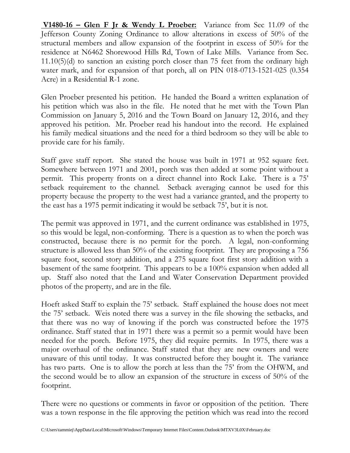**V1480-16 – Glen F Jr & Wendy L Proeber:** Variance from Sec 11.09 of the Jefferson County Zoning Ordinance to allow alterations in excess of 50% of the structural members and allow expansion of the footprint in excess of 50% for the residence at N6462 Shorewood Hills Rd, Town of Lake Mills. Variance from Sec. 11.10(5)(d) to sanction an existing porch closer than 75 feet from the ordinary high water mark, and for expansion of that porch, all on PIN 018-0713-1521-025 (0.354 Acre) in a Residential R-1 zone.

Glen Proeber presented his petition. He handed the Board a written explanation of his petition which was also in the file. He noted that he met with the Town Plan Commission on January 5, 2016 and the Town Board on January 12, 2016, and they approved his petition. Mr. Proeber read his handout into the record. He explained his family medical situations and the need for a third bedroom so they will be able to provide care for his family.

Staff gave staff report. She stated the house was built in 1971 at 952 square feet. Somewhere between 1971 and 2001, porch was then added at some point without a permit. This property fronts on a direct channel into Rock Lake. There is a 75' setback requirement to the channel. Setback averaging cannot be used for this property because the property to the west had a variance granted, and the property to the east has a 1975 permit indicating it would be setback 75', but it is not.

The permit was approved in 1971, and the current ordinance was established in 1975, so this would be legal, non-conforming. There is a question as to when the porch was constructed, because there is no permit for the porch. A legal, non-conforming structure is allowed less than 50% of the existing footprint. They are proposing a 756 square foot, second story addition, and a 275 square foot first story addition with a basement of the same footprint. This appears to be a 100% expansion when added all up. Staff also noted that the Land and Water Conservation Department provided photos of the property, and are in the file.

Hoeft asked Staff to explain the 75' setback. Staff explained the house does not meet the 75' setback. Weis noted there was a survey in the file showing the setbacks, and that there was no way of knowing if the porch was constructed before the 1975 ordinance. Staff stated that in 1971 there was a permit so a permit would have been needed for the porch. Before 1975, they did require permits. In 1975, there was a major overhaul of the ordinance. Staff stated that they are new owners and were unaware of this until today. It was constructed before they bought it. The variance has two parts. One is to allow the porch at less than the 75' from the OHWM, and the second would be to allow an expansion of the structure in excess of 50% of the footprint.

There were no questions or comments in favor or opposition of the petition. There was a town response in the file approving the petition which was read into the record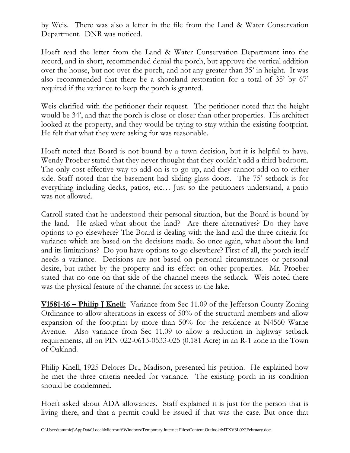by Weis. There was also a letter in the file from the Land & Water Conservation Department. DNR was noticed.

Hoeft read the letter from the Land & Water Conservation Department into the record, and in short, recommended denial the porch, but approve the vertical addition over the house, but not over the porch, and not any greater than 35' in height. It was also recommended that there be a shoreland restoration for a total of 35' by 67' required if the variance to keep the porch is granted.

Weis clarified with the petitioner their request. The petitioner noted that the height would be 34', and that the porch is close or closer than other properties. His architect looked at the property, and they would be trying to stay within the existing footprint. He felt that what they were asking for was reasonable.

Hoeft noted that Board is not bound by a town decision, but it is helpful to have. Wendy Proeber stated that they never thought that they couldn't add a third bedroom. The only cost effective way to add on is to go up, and they cannot add on to either side. Staff noted that the basement had sliding glass doors. The 75' setback is for everything including decks, patios, etc… Just so the petitioners understand, a patio was not allowed.

Carroll stated that he understood their personal situation, but the Board is bound by the land. He asked what about the land? Are there alternatives? Do they have options to go elsewhere? The Board is dealing with the land and the three criteria for variance which are based on the decisions made. So once again, what about the land and its limitations? Do you have options to go elsewhere? First of all, the porch itself needs a variance. Decisions are not based on personal circumstances or personal desire, but rather by the property and its effect on other properties. Mr. Proeber stated that no one on that side of the channel meets the setback. Weis noted there was the physical feature of the channel for access to the lake.

**V1581-16 – Philip J Knell:** Variance from Sec 11.09 of the Jefferson County Zoning Ordinance to allow alterations in excess of 50% of the structural members and allow expansion of the footprint by more than 50% for the residence at N4560 Warne Avenue. Also variance from Sec 11.09 to allow a reduction in highway setback requirements, all on PIN 022-0613-0533-025 (0.181 Acre) in an R-1 zone in the Town of Oakland.

Philip Knell, 1925 Delores Dr., Madison, presented his petition. He explained how he met the three criteria needed for variance. The existing porch in its condition should be condemned.

Hoeft asked about ADA allowances. Staff explained it is just for the person that is living there, and that a permit could be issued if that was the case. But once that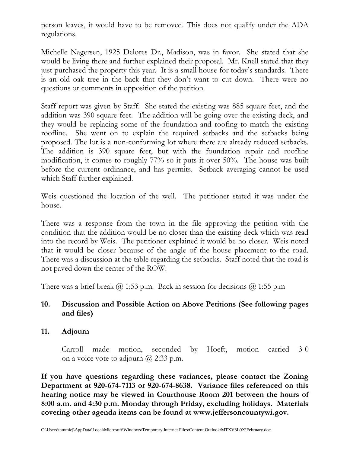person leaves, it would have to be removed. This does not qualify under the ADA regulations.

Michelle Nagersen, 1925 Delores Dr., Madison, was in favor. She stated that she would be living there and further explained their proposal. Mr. Knell stated that they just purchased the property this year. It is a small house for today's standards. There is an old oak tree in the back that they don't want to cut down. There were no questions or comments in opposition of the petition.

Staff report was given by Staff. She stated the existing was 885 square feet, and the addition was 390 square feet. The addition will be going over the existing deck, and they would be replacing some of the foundation and roofing to match the existing roofline. She went on to explain the required setbacks and the setbacks being proposed. The lot is a non-conforming lot where there are already reduced setbacks. The addition is 390 square feet, but with the foundation repair and roofline modification, it comes to roughly 77% so it puts it over 50%. The house was built before the current ordinance, and has permits. Setback averaging cannot be used which Staff further explained.

Weis questioned the location of the well. The petitioner stated it was under the house.

There was a response from the town in the file approving the petition with the condition that the addition would be no closer than the existing deck which was read into the record by Weis. The petitioner explained it would be no closer. Weis noted that it would be closer because of the angle of the house placement to the road. There was a discussion at the table regarding the setbacks. Staff noted that the road is not paved down the center of the ROW.

There was a brief break  $\omega$  1:53 p.m. Back in session for decisions  $\omega$  1:55 p.m

## **10. Discussion and Possible Action on Above Petitions (See following pages and files)**

#### **11. Adjourn**

Carroll made motion, seconded by Hoeft, motion carried 3-0 on a voice vote to adjourn  $(a)$  2:33 p.m.

**If you have questions regarding these variances, please contact the Zoning Department at 920-674-7113 or 920-674-8638. Variance files referenced on this hearing notice may be viewed in Courthouse Room 201 between the hours of 8:00 a.m. and 4:30 p.m. Monday through Friday, excluding holidays. Materials covering other agenda items can be found at www.jeffersoncountywi.gov.**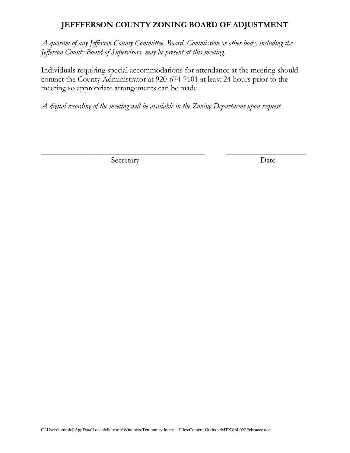# **JEFFFERSON COUNTY ZONING BOARD OF ADJUSTMENT**

*A quorum of any Jefferson County Committee, Board, Commission or other body, including the Jefferson County Board of Supervisors, may be present at this meeting.*

Individuals requiring special accommodations for attendance at the meeting should contact the County Administrator at 920-674-7101 at least 24 hours prior to the meeting so appropriate arrangements can be made.

\_\_\_\_\_\_\_\_\_\_\_\_\_\_\_\_\_\_\_\_\_\_\_\_\_\_\_\_\_\_\_\_\_\_\_\_\_\_\_\_\_ \_\_\_\_\_\_\_\_\_\_\_\_\_\_\_\_\_\_\_\_

*A digital recording of the meeting will be available in the Zoning Department upon request.*

Secretary Date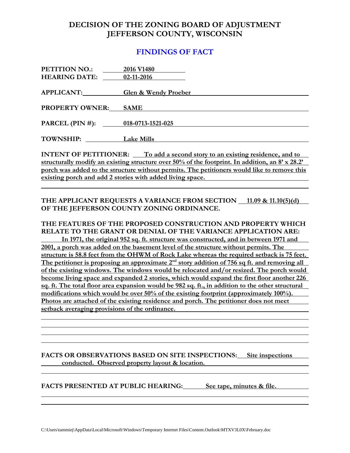## **DECISION OF THE ZONING BOARD OF ADJUSTMENT JEFFERSON COUNTY, WISCONSIN**

### **FINDINGS OF FACT**

| PETITION NO.:                     | 2016 V1480                      |
|-----------------------------------|---------------------------------|
| <b>HEARING DATE:</b>              | 02-11-2016                      |
|                                   |                                 |
| APPLICANT:                        | <b>Glen &amp; Wendy Proeber</b> |
|                                   |                                 |
| <b>PROPERTY OWNER: SAME</b>       |                                 |
|                                   |                                 |
| PARCEL (PIN #): 018-0713-1521-025 |                                 |
|                                   |                                 |
| <b>TOWNSHIP:</b>                  | <b>Lake Mills</b>               |

**INTENT OF PETITIONER:** To add a second story to an existing residence, and to **structurally modify an existing structure over 50% of the footprint. In addition, an 8' x 28.2' porch was added to the structure without permits. The petitioners would like to remove this existing porch and add 2 stories with added living space.** 

#### THE APPLICANT REQUESTS A VARIANCE FROM SECTION 11.09 & 11.10(5)(d) **OF THE JEFFERSON COUNTY ZONING ORDINANCE.**

#### **THE FEATURES OF THE PROPOSED CONSTRUCTION AND PROPERTY WHICH RELATE TO THE GRANT OR DENIAL OF THE VARIANCE APPLICATION ARE:**

**In 1971, the original 952 sq. ft. structure was constructed, and in between 1971 and 2001, a porch was added on the basement level of the structure without permits. The structure is 58.8 feet from the OHWM of Rock Lake whereas the required setback is 75 feet.** The petitioner is proposing an approximate 2<sup>nd</sup> story addition of 756 sq ft. and removing all **of the existing windows. The windows would be relocated and/or resized. The porch would become living space and expanded 2 stories, which would expand the first floor another 226 sq. ft. The total floor area expansion would be 982 sq. ft., in addition to the other structural modifications which would be over 50% of the existing footprint (approximately 100%). Photos are attached of the existing residence and porch. The petitioner does not meet setback averaging provisions of the ordinance.** 

#### **FACTS OR OBSERVATIONS BASED ON SITE INSPECTIONS: Site inspections conducted. Observed property layout & location.**

#### **FACTS PRESENTED AT PUBLIC HEARING: See tape, minutes & file.**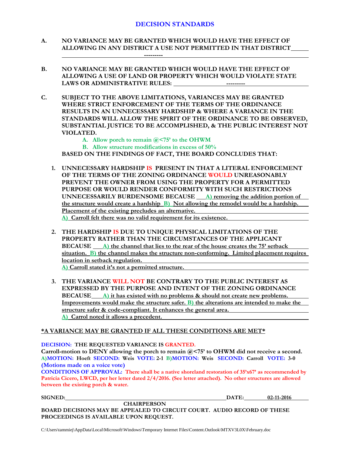- **A. NO VARIANCE MAY BE GRANTED WHICH WOULD HAVE THE EFFECT OF ALLOWING IN ANY DISTRICT A USE NOT PERMITTED IN THAT DISTRICT**
- **B. NO VARIANCE MAY BE GRANTED WHICH WOULD HAVE THE EFFECT OF ALLOWING A USE OF LAND OR PROPERTY WHICH WOULD VIOLATE STATE LAWS OR ADMINISTRATIVE RULES: ---------**
- **C. SUBJECT TO THE ABOVE LIMITATIONS, VARIANCES MAY BE GRANTED WHERE STRICT ENFORCEMENT OF THE TERMS OF THE ORDINANCE RESULTS IN AN UNNECESSARY HARDSHIP & WHERE A VARIANCE IN THE STANDARDS WILL ALLOW THE SPIRIT OF THE ORDINANCE TO BE OBSERVED, SUBSTANTIAL JUSTICE TO BE ACCOMPLISHED, & THE PUBLIC INTEREST NOT VIOLATED.**
	- **A. Allow porch to remain @<75' to the OHWM**

**---------**

**B. Allow structure modifications in excess of 50%**

**BASED ON THE FINDINGS OF FACT, THE BOARD CONCLUDES THAT:**

- **1. UNNECESSARY HARDSHIP IS PRESENT IN THAT A LITERAL ENFORCEMENT OF THE TERMS OF THE ZONING ORDINANCE WOULD UNREASONABLY PREVENT THE OWNER FROM USING THE PROPERTY FOR A PERMITTED PURPOSE OR WOULD RENDER CONFORMITY WITH SUCH RESTRICTIONS UNNECESSARILY BURDENSOME BECAUSE A) removing the addition portion of the structure would create a hardship B) Not allowing the remodel would be a hardship. Placement of the existing precludes an alternative. A) Carroll felt there was no valid requirement for its existence.**
- **2. THE HARDSHIP IS DUE TO UNIQUE PHYSICAL LIMITATIONS OF THE PROPERTY RATHER THAN THE CIRCUMSTANCES OF THE APPLICANT BECAUSE A) the channel that lies to the rear of the house creates the 75' setback situation. B) the channel makes the structure non-conforming. Limited placement requires location in setback regulation. A) Carroll stated it's not a permitted structure.**

**3. THE VARIANCE WILL NOT BE CONTRARY TO THE PUBLIC INTEREST AS EXPRESSED BY THE PURPOSE AND INTENT OF THE ZONING ORDINANCE BECAUSE A) it has existed with no problems & should not create new problems. Improvements would make the structure safer. B) the alterations are intended to make the structure safer & code-compliant. It enhances the general area. A) Carrol noted it allows a precedent.**

#### **\*A VARIANCE MAY BE GRANTED IF ALL THESE CONDITIONS ARE MET\***

**DECISION: THE REQUESTED VARIANCE IS GRANTED.**

**Carroll-motion to DENY allowing the porch to remain @<75' to OHWM did not receive a second. A)MOTION: Hoeft SECOND: Weis VOTE: 2-1 B)MOTION: Weis SECOND: Carroll VOTE: 3-0 (Motions made on a voice vote)**

**CONDITIONS OF APPROVAL: There shall be a native shoreland restoration of 35'x67' as recommended by Patricia Cicero, LWCD, per her letter dated 2/4/2016. (See letter attached). No other structures are allowed between the existing porch & water.**

**SIGNED: DATE: 02-11-2016**

**CHAIRPERSON BOARD DECISIONS MAY BE APPEALED TO CIRCUIT COURT. AUDIO RECORD OF THESE PROCEEDINGS IS AVAILABLE UPON REQUEST.**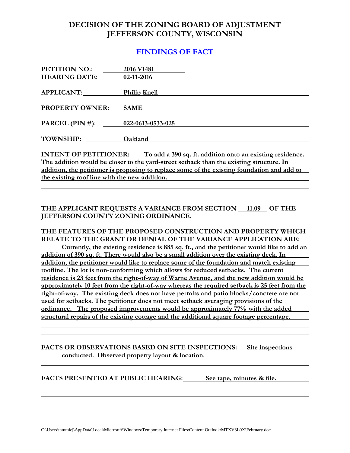## **DECISION OF THE ZONING BOARD OF ADJUSTMENT JEFFERSON COUNTY, WISCONSIN**

### **FINDINGS OF FACT**

| PETITION NO.:          | 2016 V1481                |
|------------------------|---------------------------|
| <b>HEARING DATE:</b>   | 02-11-2016                |
| APPLICANT:             | <b>Philip Knell</b>       |
|                        |                           |
| <b>PROPERTY OWNER:</b> | <b>SAME</b>               |
| PARCEL $(PIN \#)$ :    | $022 - 0613 - 0533 - 025$ |
|                        |                           |
| <b>TOWNSHIP:</b>       | Oakland                   |

**INTENT OF PETITIONER:** To add a 390 sq. ft. addition onto an existing residence. **The addition would be closer to the yard-street setback than the existing structure. In addition, the petitioner is proposing to replace some of the existing foundation and add to the existing roof line with the new addition.** 

**THE APPLICANT REQUESTS A VARIANCE FROM SECTION 11.09 OF THE JEFFERSON COUNTY ZONING ORDINANCE.**

**THE FEATURES OF THE PROPOSED CONSTRUCTION AND PROPERTY WHICH RELATE TO THE GRANT OR DENIAL OF THE VARIANCE APPLICATION ARE: Currently, the existing residence is 885 sq. ft., and the petitioner would like to add an addition of 390 sq. ft. There would also be a small addition over the existing deck. In addition, the petitioner would like to replace some of the foundation and match existing roofline. The lot is non-conforming which allows for reduced setbacks. The current residence is 23 feet from the right-of-way of Warne Avenue, and the new addition would be approximately 10 feet from the right-of-way whereas the required setback is 25 feet from the right-of-way. The existing deck does not have permits and patio blocks/concrete are not used for setbacks. The petitioner does not meet setback averaging provisions of the ordinance. The proposed improvements would be approximately 77% with the added structural repairs of the existing cottage and the additional square footage percentage.** 

**FACTS OR OBSERVATIONS BASED ON SITE INSPECTIONS: Site inspections conducted. Observed property layout & location.**

**FACTS PRESENTED AT PUBLIC HEARING: See tape, minutes & file.**